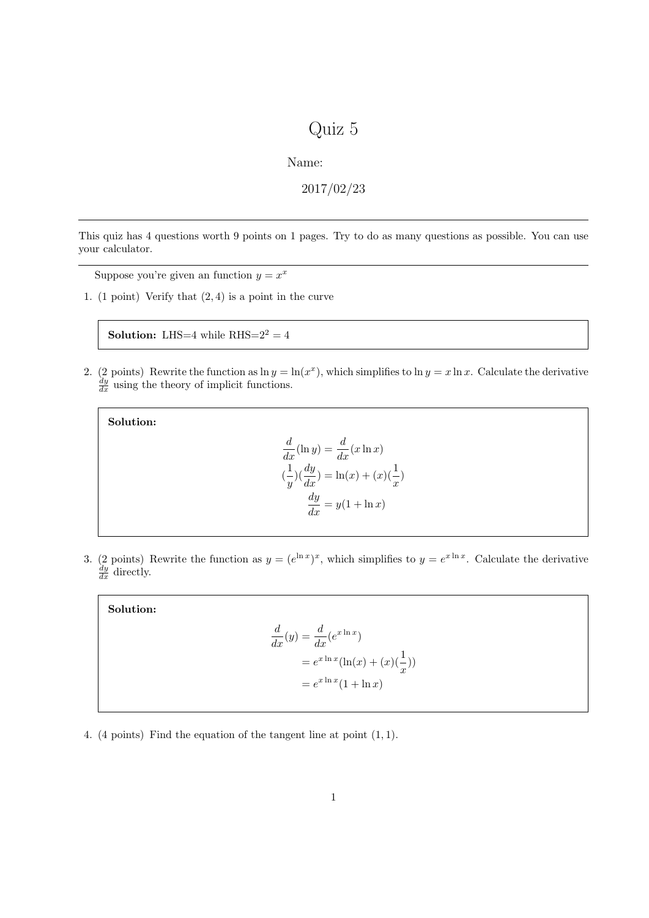## Quiz 5

Name:

2017/02/23

This quiz has 4 questions worth 9 points on 1 pages. Try to do as many questions as possible. You can use your calculator.

Suppose you're given an function  $y = x^x$ 

1. (1 point) Verify that  $(2, 4)$  is a point in the curve

**Solution:** LHS=4 while  $RHS=2^2 = 4$ 

2. (2 points) Rewrite the function as  $\ln y = \ln(x^x)$ , which simplifies to  $\ln y = x \ln x$ . Calculate the derivative  $\frac{dy}{dx}$  using the theory of implicit functions.

Solution:

$$
\frac{d}{dx}(\ln y) = \frac{d}{dx}(x \ln x)
$$

$$
(\frac{1}{y})(\frac{dy}{dx}) = \ln(x) + (x)(\frac{1}{x})
$$

$$
\frac{dy}{dx} = y(1 + \ln x)
$$

3. (2 points) Rewrite the function as  $y = (e^{\ln x})^x$ , which simplifies to  $y = e^{x \ln x}$ . Calculate the derivative  $\frac{dy}{dx}$  directly.

Solution:

$$
\frac{d}{dx}(y) = \frac{d}{dx}(e^{x \ln x})
$$

$$
= e^{x \ln x}(\ln(x) + (x)(\frac{1}{x}))
$$

$$
= e^{x \ln x}(1 + \ln x)
$$

4. (4 points) Find the equation of the tangent line at point (1, 1).